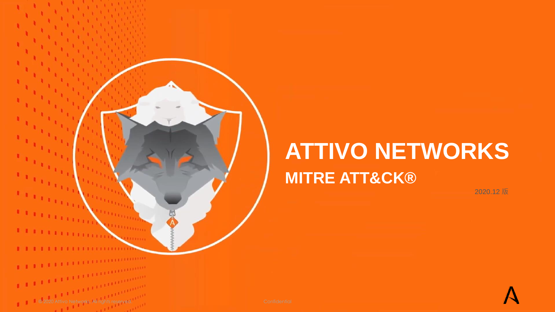# **ATTIVO NETWORKS MITRE ATT&CK®**

2020.12 版



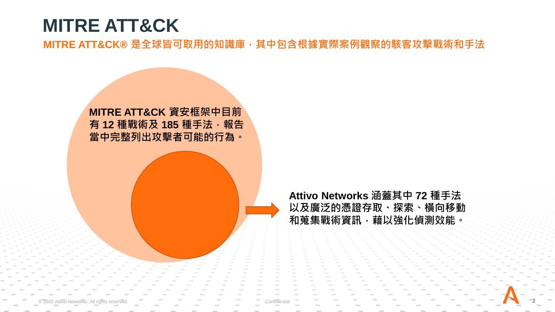## **MITRE ATT&CK**

MITRE ATT&CK®是全球皆可取用的知識庫,其中包含根據實際案例觀察的駭客攻擊戰術和手法



**Attivo Networks 涵蓋其中 72 種手法 以及廣泛的憑證存取、探索、橫向移動** 和蒐集戰術資訊,藉以強化偵測效能。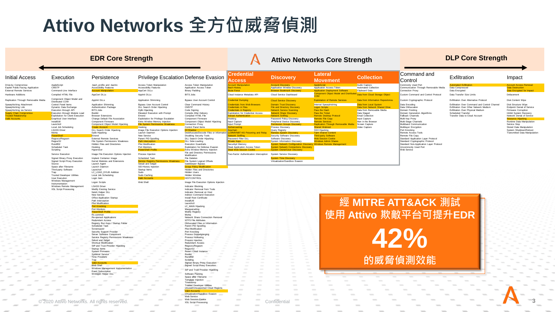## **Attivo Networks 全方位威脅偵測**

#### Initial Access Execution Persistence Privilege Escalation Defense Evasion **Credential**  Replication Through Removable Media Component Object Model and Service Execution Image File Execution Options Injection Signed Binary Proxy Execution Implant Container Image<br>Signed Script Proxy Execution Kernel Modules and Exter Signed Script Proxy Execution Kernel Modules and Extensions<br>
Service Registry Proxy Execution<br>
Registry Permissions File System Logical Offsets Virtualization Source Setuid and Setgid Gate Cate Setuid and Setgid Setuid and Setgid Setuid and Setgid Setuid and Setgid Gatekeeper Bypass Space after Filename Launch Daemon<br>Third-party Software Launchctl Third-party Software<br>Trap LC\_LOAD\_DYLIB Addition Trusted Developer Utilities<br>
Local Job Scheduling<br>
Local Job Scheduling Local Job Scheduling Intern User Execution **Login Item Community Community Community** Accounts History Community Community Community Community Windows Management<br>Instrumentation vinuows inangement in Logon Scripts Nether Web Shell Image File Execution Options Injection<br>Instrumentation Windows Remote Management LSASS Driver<br>XSL Script Processing Modify Existing **Modify Existing Service** Netsh Helper DLL<br>New Service Office Application Startup Path Interception Plist Modification Port Monitors PowerShell P<br>Rc.common Redundant Access Registry Run Keys / Startup Folder Scheduled Task Screensaver Security Support Provider Server Software Component Service Registry Permissions Weakness Setuid and Setgid Shortcut Modification SIP and Trust Provider Hijacking Startup Items System Firmware Systemd Service Time Providers<br>Trap Windows Management Instrumentation Event Subscription Winlogon Helper DLL

© 2020 Attivo Networks. All rights reserved. Confidential **3**

| Persistence                                                                                                                                                                                                                                                                                                                                                                                                                                                                                                                                                                                                                  | <b>Privilege Escalation Defense Evasior</b>                                                                                                                                                                                                                                                                                                                                                                                                                     |                                                                                                                                                                                                                                                                                                                                                                                                                                                                                                                                                                                   |
|------------------------------------------------------------------------------------------------------------------------------------------------------------------------------------------------------------------------------------------------------------------------------------------------------------------------------------------------------------------------------------------------------------------------------------------------------------------------------------------------------------------------------------------------------------------------------------------------------------------------------|-----------------------------------------------------------------------------------------------------------------------------------------------------------------------------------------------------------------------------------------------------------------------------------------------------------------------------------------------------------------------------------------------------------------------------------------------------------------|-----------------------------------------------------------------------------------------------------------------------------------------------------------------------------------------------------------------------------------------------------------------------------------------------------------------------------------------------------------------------------------------------------------------------------------------------------------------------------------------------------------------------------------------------------------------------------------|
| .bash_profile and .bashrc<br><b>Accessibility Features</b><br><b>Account Manipulation</b>                                                                                                                                                                                                                                                                                                                                                                                                                                                                                                                                    | Access Token Manipulation<br><b>Accessibility Features</b><br>AppCert DLLs                                                                                                                                                                                                                                                                                                                                                                                      | Access Token Manipulation<br>Application Access Token<br><b>Binary Padding</b>                                                                                                                                                                                                                                                                                                                                                                                                                                                                                                    |
| AppCert DLLs                                                                                                                                                                                                                                                                                                                                                                                                                                                                                                                                                                                                                 | Applnit DLLs                                                                                                                                                                                                                                                                                                                                                                                                                                                    | <b>BITS Jobs</b>                                                                                                                                                                                                                                                                                                                                                                                                                                                                                                                                                                  |
| Applnit DLLs                                                                                                                                                                                                                                                                                                                                                                                                                                                                                                                                                                                                                 | Application Shimming                                                                                                                                                                                                                                                                                                                                                                                                                                            | <b>Bypass User Account Control</b>                                                                                                                                                                                                                                                                                                                                                                                                                                                                                                                                                |
| Application Shimming<br>Authentication Package<br><b>BITS Jobs</b><br><b>Bootkit</b><br><b>Browser Extensions</b><br>Change Default File Association<br>Component Firmware<br>Component Object Model Hijacking<br><b>Create Account</b><br>DLL Search Order Hijacking<br>Dylib Hijacking<br>Emond<br><b>External Remote Services</b><br>File System Permissions Weakness<br><b>Hidden Files and Directories</b><br>Hooking<br>Hypervisor                                                                                                                                                                                     | Bypass User Account Control<br>DLL Search Order Hijacking<br>Dylib Hijacking<br>Elevated Execution with Prompt<br>Emond<br>Exploitation for Privilege Escalation<br>Extra Window Memory Injection<br><b>File System Permissions Weakness</b><br>Hooking<br>Image File Execution Options Injection<br>Launch Daemon<br>New Service<br>Parent PID Spoofing<br><b>Path Interception</b><br><b>Plist Modification</b><br>Port Monitors<br><b>PowerShell Profile</b> | Clear Command History<br>CMSTP<br>Code Signing<br>Compile After Delivery<br>Compiled HTML File<br>Component Firmware<br>Component Object Model Hijacking<br>Connection Proxy<br>Control Panel Items<br><b>DCShadow</b><br>Deobfuscate/Decode Files or Informa<br><b>Disabling Security Tools</b><br>DLL Search Order Hijacking<br><b>DLL Side-Loading</b><br><b>Execution Guardrails</b><br>Exploitation for Defense Evasion<br>Extra Window Memory Injection<br>File and Directory Permissions                                                                                   |
| Image File Execution Options Injection                                                                                                                                                                                                                                                                                                                                                                                                                                                                                                                                                                                       | Process Injection                                                                                                                                                                                                                                                                                                                                                                                                                                               | Modification                                                                                                                                                                                                                                                                                                                                                                                                                                                                                                                                                                      |
| Implant Container Image<br>Kernel Modules and Extensions<br>Launch Agent<br>Launch Daemon<br>Launchett<br>LC_LOAD_DYLIB Addition<br>Local Job Scheduling<br>Login Item                                                                                                                                                                                                                                                                                                                                                                                                                                                       | Scheduled Task<br><b>Service Registry Permissions Weakness</b><br>Setuid and Setgid<br>SID-History Injection<br>Startup Items<br>Sudo<br>Sudo Caching<br><b>Valid Accounts</b>                                                                                                                                                                                                                                                                                  | File Deletion<br>File System Logical Offsets<br>Gatekeeper Bypass<br><b>Group Policy Modification</b><br><b>Hidden Files and Directories</b><br>Hidden I Isers<br>Hidden Window<br><b>HISTCONTROL</b>                                                                                                                                                                                                                                                                                                                                                                             |
| Logon Scripts                                                                                                                                                                                                                                                                                                                                                                                                                                                                                                                                                                                                                | Web Shell                                                                                                                                                                                                                                                                                                                                                                                                                                                       | Image File Execution Options Injectio                                                                                                                                                                                                                                                                                                                                                                                                                                                                                                                                             |
| <b>LSASS Driver</b><br>Modify Existing Service<br>Netsh Helper DLL<br>New Service<br>Office Application Startup<br>Path Interception<br><b>Plist Modification</b><br><b>Port Knocking</b><br>Port Monitors<br><b>PowerShell Profile</b><br>Rc.common<br>Re-opened Applications<br>Redundant Access<br>Registry Run Keys / Startup Folder<br>Scheduled Task<br>Screensgyer<br>Security Support Provider<br>Server Software Component<br>Service Registry Permissions Weakness<br>Setuid and Setgid<br>Shortcut Modification<br>SIP and Trust Provider Hijacking<br>Startup Items<br>System Firmware<br><b>Systemd Service</b> |                                                                                                                                                                                                                                                                                                                                                                                                                                                                 | Indicator Blocking<br>Indicator Removal from Tools<br>Indicator Removal on Host<br>Indirect Command Execution<br>Install Root Certificate<br>InstallUtil<br>I aunchet<br>LC_MAIN Hijacking<br>Masquerading<br>Modify Registry<br>Mshta<br>Network Share Connection Removal<br><b>NTFS File Attributes</b><br>Obfuscated Files or Information<br>Parent PID Spoofing<br><b>Plist Modification</b><br>Port Knocking<br>Process Doppelgänging<br>Process Hollowing<br>Process Injection<br><b>Redundant Access</b><br>Regsvcs/Regasm<br>Regsvr32<br>Revert Cloud Instance<br>Rootkit |
| <b>Time Providers</b><br>Trap<br><b>Valid Accounts</b>                                                                                                                                                                                                                                                                                                                                                                                                                                                                                                                                                                       |                                                                                                                                                                                                                                                                                                                                                                                                                                                                 | Rundll32<br>Scripting<br>Signed Binary Proxy Execution                                                                                                                                                                                                                                                                                                                                                                                                                                                                                                                            |
| Web Shell<br>Windows Management Instrumentation                                                                                                                                                                                                                                                                                                                                                                                                                                                                                                                                                                              |                                                                                                                                                                                                                                                                                                                                                                                                                                                                 | Signed Script Proxy Execution                                                                                                                                                                                                                                                                                                                                                                                                                                                                                                                                                     |
| Event Subscription<br>Winlogon Helper DLL                                                                                                                                                                                                                                                                                                                                                                                                                                                                                                                                                                                    |                                                                                                                                                                                                                                                                                                                                                                                                                                                                 | SIP and Trust Provider Hijacking<br>Software Packing<br>Space after Filename<br>Template Injection<br>Timestomp<br><b>Trusted Developer Utilities</b><br>Unused/Unsupported Cloud Regions                                                                                                                                                                                                                                                                                                                                                                                         |

Valid Accounts Virtualization/Sandbox Evasion Web Service Web Session Cookie XSL Script Processing

| <b>EDR COLE STELIGILI</b>                                                                                                                                             |                                                                                                                                                                                                                                                             |                                                                                                                                                                                                                                                                                                                                                           |                                                                                                                                                                                                                                                                                                                           |                                                                                                                                                                                                                                                                                                                                              | Attivo Networks Core Strength<br><b>DLL ONG OUGHAIL</b>                                                                                                                                                                                              |                                                                                                                                                                                                                                                                                                                                                 |                                                                                                                                                                                                                                                                                                                |                                                                                                                                                                                  |                                                                                                                                                                                                                                                         |                                                                                                                                                                                      |                                                                                                                                                                                                                                                                                                          |
|-----------------------------------------------------------------------------------------------------------------------------------------------------------------------|-------------------------------------------------------------------------------------------------------------------------------------------------------------------------------------------------------------------------------------------------------------|-----------------------------------------------------------------------------------------------------------------------------------------------------------------------------------------------------------------------------------------------------------------------------------------------------------------------------------------------------------|---------------------------------------------------------------------------------------------------------------------------------------------------------------------------------------------------------------------------------------------------------------------------------------------------------------------------|----------------------------------------------------------------------------------------------------------------------------------------------------------------------------------------------------------------------------------------------------------------------------------------------------------------------------------------------|------------------------------------------------------------------------------------------------------------------------------------------------------------------------------------------------------------------------------------------------------|-------------------------------------------------------------------------------------------------------------------------------------------------------------------------------------------------------------------------------------------------------------------------------------------------------------------------------------------------|----------------------------------------------------------------------------------------------------------------------------------------------------------------------------------------------------------------------------------------------------------------------------------------------------------------|----------------------------------------------------------------------------------------------------------------------------------------------------------------------------------|---------------------------------------------------------------------------------------------------------------------------------------------------------------------------------------------------------------------------------------------------------|--------------------------------------------------------------------------------------------------------------------------------------------------------------------------------------|----------------------------------------------------------------------------------------------------------------------------------------------------------------------------------------------------------------------------------------------------------------------------------------------------------|
| Initial Access                                                                                                                                                        | Execution                                                                                                                                                                                                                                                   | Persistence                                                                                                                                                                                                                                                                                                                                               |                                                                                                                                                                                                                                                                                                                           | Privilege Escalation Defense Evasion                                                                                                                                                                                                                                                                                                         | <b>Credential</b><br>Access                                                                                                                                                                                                                          | <b>Discovery</b>                                                                                                                                                                                                                                                                                                                                | Lateral<br><b>Movement</b>                                                                                                                                                                                                                                                                                     | <b>Collection</b>                                                                                                                                                                | Command and<br>Control                                                                                                                                                                                                                                  | Exfiltration                                                                                                                                                                         | Impact                                                                                                                                                                                                                                                                                                   |
| Drive-by Compromise<br>Exploit Public-Facing Application<br><b>External Remote Services</b>                                                                           | AppleScript<br>CMSTP<br>Command-Line Interface                                                                                                                                                                                                              | bash_profile and .bashrc<br><b>Accessibility Features</b><br><b>Account Manipulation</b>                                                                                                                                                                                                                                                                  | <b>Access Token Manipulation</b><br><b>Accessibility Features</b><br>AppCert DLLs                                                                                                                                                                                                                                         | Access Token Manipulation<br>Application Access Token<br><b>Binary Padding</b>                                                                                                                                                                                                                                                               | <b>ccount Manipulation</b><br><b>Bash History</b><br><b>Brute Force</b>                                                                                                                                                                              | <b>Account Discovery</b><br>Application Window Discovery<br><b>Browser Bookmark Discovery</b>                                                                                                                                                                                                                                                   | AppleScript<br>Application Access Token<br><b>Application Deployment Software</b>                                                                                                                                                                                                                              | Audio Capture<br>Automated Collection<br>Clipboard Data                                                                                                                          | Commonly Used Port<br>Communication Through Removable Media<br>Connection Proxy                                                                                                                                                                         | utomated Exfiltration<br>Data Compressed<br>Data Encrypted                                                                                                                           | <b>Account Access Removal</b><br><b>Data Destruction</b><br>Data Encrypted for Impact                                                                                                                                                                                                                    |
| <b>Hardware Additions</b>                                                                                                                                             | Compiled HTML File                                                                                                                                                                                                                                          | AppCert DLLs                                                                                                                                                                                                                                                                                                                                              | Applnit DLLs                                                                                                                                                                                                                                                                                                              | <b>BITS Jobs</b>                                                                                                                                                                                                                                                                                                                             | Cloud Instance Metadata API                                                                                                                                                                                                                          | Cloud Service Dashboard                                                                                                                                                                                                                                                                                                                         | <b>Component Object Model and Distributed</b>                                                                                                                                                                                                                                                                  | Data from Cloud Storage Object                                                                                                                                                   | Custom Command and Control Protocol                                                                                                                                                                                                                     | Data Transfer Size Limits                                                                                                                                                            | Defacement                                                                                                                                                                                                                                                                                               |
| Replication Through Removable Media                                                                                                                                   | Component Object Model and<br>Distributed COM                                                                                                                                                                                                               | Applnit DLLs                                                                                                                                                                                                                                                                                                                                              | Application Shimming                                                                                                                                                                                                                                                                                                      | <b>Bypass User Account Control</b>                                                                                                                                                                                                                                                                                                           | <b>Credential Dumping</b>                                                                                                                                                                                                                            | <b>Cloud Service Discovery</b>                                                                                                                                                                                                                                                                                                                  | <b>Exploitation of Remote Services</b>                                                                                                                                                                                                                                                                         | <b>Data from Information Repositories</b>                                                                                                                                        | Custom Cryptographic Protocol                                                                                                                                                                                                                           | Exfiltration Over Alternative Protocol                                                                                                                                               | <b>Disk Content Wipe</b>                                                                                                                                                                                                                                                                                 |
| Spearphishing Attachment<br>Spearphishing Link<br>Spearphishing via Service<br><b>Supply Chain Compromise</b><br><b>Trusted Relationship</b><br><b>Valid Accounts</b> | Control Panel Items<br>Dynamic Data Exchange<br>Execution through API<br>Execution through Module Load<br>Exploitation for Client Execution<br>Graphical User Interface<br>InstallUtil<br>Launchctl<br>Local Job Scheduling<br><b>LSASS Driver</b><br>Mshta | Application Shimming<br>Authentication Package<br><b>BITS Jobs</b><br>Bootkit<br><b>Browser Extensions</b><br>Change Default File Association<br>Component Firmware<br>Component Object Model Hijacking<br><b>Create Account</b><br><b>DLL Search Order Hijacking</b><br>Dylib Hijacking                                                                  | <b>Bypass User Account Control</b><br>DLL Search Order Hijacking<br>Dylib Hijacking<br>Elevated Execution with Prompt<br>Emond<br>Exploitation for Privilege Escalation<br>Extra Window Memory Injection<br><b>File System Permissions Weakness</b><br>Hooking<br>Image File Execution Options Injection<br>Launch Daemon | Clear Command History<br>CMSTP<br>Code Signing<br>Compile After Delivery<br>Compiled HTML File<br>Component Firmware<br>Component Object Model Hijacking<br>Connection Proxy<br>Control Panel Items<br><b>DCShadow</b><br>Deobfuscate/Decode Files or Information <b>LLMNR/NBT-NS Poisoning and Relay</b>                                    | <b>Credentials from Web Browsers</b><br><b>Credentials in Files</b><br><b>Credentials in Registry</b><br>Exploitation for Credential Access<br><b>Forced Authentication</b><br>Hooking<br>Input Capture<br>Input Prompt<br>Kerberoasting<br>Keychain | Domain Trust Discovery<br><b>File and Directory Discovery</b><br><b>Network Service Scanning</b><br><b>Network Share Discovery</b><br><b>Network Sniffing</b><br>Password Policy Discovery<br>Peripheral Device Discovery<br><b>Permission Groups Discovery</b><br><b>Process Discovery</b><br>Query Registry<br><b>Remote System Discovery</b> | Internal Spearphishing<br><b>Logon Scripts</b><br>Pass the Hash<br>Pass the Ticket<br><b>Remote Desktop Protoco</b><br><b>Remote File Copy</b><br><b>Remote Services</b><br>Replication Through Removable Media Screen Capture<br><b>Shared Webroot</b><br><b>SSH Hijacking</b><br><b>Taint Shared Content</b> | Data from Local System<br>Data from Network Shared Drive<br>Data from Removable Media<br>Data Staged<br>Email Collection<br>Input Capture<br>Man in the Browser<br>Video Capture | Data Encoding<br>Data Obfuscation<br>Domain Fronting<br>Domain Generation Algorithms<br><b>Fallback Channels</b><br>Multi-hop Proxy<br>Multi-Stage Channels<br>Multiband Communication<br>Multilayer Encryption<br>Port Knocking<br>Remote Access Tools | Exfiltration Over Command and Control Channel<br>Exfiltration Over Other Network Medium<br>Exfiltration Over Physical Medium<br>Scheduled Transfer<br>Transfer Data to Cloud Account | Disk Structure Wipe<br>Endpoint Denial of Service<br>Firmware Corruption<br>Inhibit System Recovery<br>Network Denial of Service<br><b>Resource Hijacking</b><br>Runtime Data Manipulation<br>Service Stop<br>Stored Data Manipulation<br>System Shutdown/Reboot<br><b>Transmitted Data Manipulation</b> |
|                                                                                                                                                                       | PowerShell<br>Regsvcs/Regasm<br>Regsvr32<br>Rundll32<br>Scheduled Task<br>Scripting<br>Service Execution                                                                                                                                                    | Emond<br><b>External Remote Services</b><br>File System Permissions Weakness<br><b>Hidden Files and Directories</b><br>Hooking<br>Hypervisor<br>Image File Execution Options Injection                                                                                                                                                                    | New Service<br>Parent PID Spoofing<br><b>Path Interceptio</b><br><b>Plist Modification</b><br>Port Monitors<br>PowerShell Profile<br>Process Injection                                                                                                                                                                    | <b>Disabling Security Tools</b><br>DLL Search Order Hijacking<br>DLL Side-Loading<br><b>Execution Guardrails</b><br>Exploitation for Defense Evasion<br>Extra Window Memory Injection<br>File and Directory Permissions                                                                                                                      | <b>Vetwork Sniffing</b><br>Password Filter DLL<br>Private Kevs<br>Securityd Memory<br>Steal Application Access Token<br><b>Steal Web Session Cookie</b><br>Two-Factor Authentication Interception  System Service Discovery                          | Security Software Discovery<br>Software Discovery<br>System Information Discovery<br>System Network Configuration Discovery Windows Remote Management<br><b>System Network Connections Discovery</b><br><b>System Owner/User Discovery</b>                                                                                                      | <b>Third-party Software</b><br><b>Web Session Cookie</b><br><b>Windows Admin Shares</b>                                                                                                                                                                                                                        |                                                                                                                                                                                  | Remote File Copy<br>Standard Application Layer Protocol<br>Standard Cryptographic Protocol<br>Standard Non-Application Layer Protocol<br>Uncommonly Used Port<br>Web Service                                                                            |                                                                                                                                                                                      |                                                                                                                                                                                                                                                                                                          |
|                                                                                                                                                                       | Signed Binary Proxy Execution<br>Signed Script Proxy Execution<br>Source<br>Space after Filename<br>Third-party Software<br>Trap<br><b>Trusted Developer Utilities</b><br>User Execution<br>Windows Management                                              | Implant Container Image<br>Kernel Modules and Extensions<br>Launch Agent<br>Launch Daemon<br>Launchctl<br>LC_LOAD_DYLIB_Addition<br>Local Job Scheduling<br>Login Item                                                                                                                                                                                    | Scheduled Task<br><b>Service Registry Permissions Weaknes</b><br>Setuid and Setgid<br>SID-History Injection<br>Startup Items<br>Sudo<br>Sudo Caching<br><b>/alid Accounts</b><br>Web Shell                                                                                                                                | Modification<br>File Deletion<br>File System Logical Offsets<br>Gatekeeper Bypass<br><b>Group Policy Modification</b><br><b>Hidden Files and Directories</b><br>Hidden Users<br>Hidden Window<br><b>HISTCONTROL</b><br>Image File Execution Options Injection                                                                                |                                                                                                                                                                                                                                                      | <b>System Time Discovery</b><br>Virtualization/Sandbox Evasion                                                                                                                                                                                                                                                                                  |                                                                                                                                                                                                                                                                                                                |                                                                                                                                                                                  |                                                                                                                                                                                                                                                         |                                                                                                                                                                                      |                                                                                                                                                                                                                                                                                                          |
|                                                                                                                                                                       | Instrumentation<br>Windows Remote Management<br><b>XSL Script Processing</b>                                                                                                                                                                                | Logon Scripts<br><b>LSASS Driver</b><br>Modify Existing Service<br>Netsh Helper DLL<br>New Service<br>Office Application Startup<br>Path Interception<br><b>Plist Modification</b><br><b>Port Knocking</b><br>Port Monitors<br><b>PowerShell Profile</b><br>Rc.common<br>Re-opened Applications<br>Redundant Access<br>Registry Run Keys / Startup Folder |                                                                                                                                                                                                                                                                                                                           | Indicator Blocking<br>Indicator Removal from Tools<br>Indicator Removal on Host<br>Indirect Command Execution<br>Install Root Certificate<br>InstallUtil<br>Launchctl<br>LC_MAIN Hijacking<br>Masquerading<br>Modify Registry<br>Mshta<br>Network Share Connection Removal<br><b>NTFS File Attributes</b><br>Obfuscated Files or Information |                                                                                                                                                                                                                                                      |                                                                                                                                                                                                                                                                                                                                                 |                                                                                                                                                                                                                                                                                                                |                                                                                                                                                                                  | 經 MITRE ATT&ACK 測試<br>使用 Attivo 欺敵平台可提升EDR                                                                                                                                                                                                              |                                                                                                                                                                                      |                                                                                                                                                                                                                                                                                                          |

 $\sim$ 

#### **EDR Core Strength Attivo Networks Core Strength DLP Core Strength**

| Command and<br>Control                                                                                                                                                                                                                                                                                                                                                                                                                  | Exfiltration                                                                                                                                                                         | Impact                                                                                                                                                                                                                                                                                                          |
|-----------------------------------------------------------------------------------------------------------------------------------------------------------------------------------------------------------------------------------------------------------------------------------------------------------------------------------------------------------------------------------------------------------------------------------------|--------------------------------------------------------------------------------------------------------------------------------------------------------------------------------------|-----------------------------------------------------------------------------------------------------------------------------------------------------------------------------------------------------------------------------------------------------------------------------------------------------------------|
| Commonly Used Port<br>Communication Through Removable Media<br><b>Connection Proxy</b>                                                                                                                                                                                                                                                                                                                                                  | <b>Automated Exfiltration</b><br>Data Compressed<br>Data Encrypted                                                                                                                   | <b>Account Access Removal</b><br><b>Data Destruction</b><br><b>Data Encrypted for Impact</b>                                                                                                                                                                                                                    |
| Custom Command and Control Protocol                                                                                                                                                                                                                                                                                                                                                                                                     | Data Transfer Size Limits                                                                                                                                                            | Defacement                                                                                                                                                                                                                                                                                                      |
| Custom Cryptographic Protocol                                                                                                                                                                                                                                                                                                                                                                                                           | Exfiltration Over Alternative Protocol                                                                                                                                               | Disk Content Wipe                                                                                                                                                                                                                                                                                               |
| Data Encoding<br>Data Obfuscation<br>Domain Fronting<br>Domain Generation Algorithms<br><b>Fallback Channels</b><br>Multi-hop Proxy<br>Multi-Stage Channels<br>Multiband Communication<br>Multilayer Encryption<br>Port Knocking<br>Remote Access Tools<br>Remote File Copy<br>Standard Application Laver Protocol<br>Standard Cryptographic Protocol<br>Standard Non-Application Laver Protocol<br>Uncommonly Used Port<br>Web Service | Exfiltration Over Command and Control Channel<br>Exfiltration Over Other Network Medium<br>Exfiltration Over Physical Medium<br>Scheduled Transfer<br>Transfer Data to Cloud Account | <b>Disk Structure Wipe</b><br><b>Endpoint Denial of Service</b><br>Firmware Corruption<br>Inhibit System Recovery<br>Network Denial of Service<br>Resource Hijacking<br>Runtime Data Manipulation<br>Service Stop<br>Stored Data Manipulation<br>System Shutdown/Reboot<br><b>Transmitted Data Manipulation</b> |



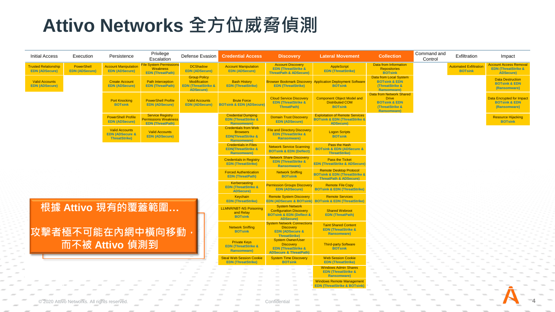## **Attivo Networks 全方位威脅偵測**

2020 Attivo Networks. All rights reserve

| Initial Access                                       | Execution                           | Persistence                                                                 | Privilege<br>Escalation                                                      | Defense Evasion                                                                                  | <b>Credential Access</b>                                                                            | <b>Discovery</b>                                                                                                       | <b>Lateral Movement</b>                                                                                             | <b>Collection</b>                                                                                                     | Command and<br>Control | Exfiltration                                    | Impact                                                                              |
|------------------------------------------------------|-------------------------------------|-----------------------------------------------------------------------------|------------------------------------------------------------------------------|--------------------------------------------------------------------------------------------------|-----------------------------------------------------------------------------------------------------|------------------------------------------------------------------------------------------------------------------------|---------------------------------------------------------------------------------------------------------------------|-----------------------------------------------------------------------------------------------------------------------|------------------------|-------------------------------------------------|-------------------------------------------------------------------------------------|
| <b>Trusted Relationship</b><br><b>EDN (ADSecure)</b> | PowerShell<br><b>EDN (ADSecure)</b> | <b>Account Manipulation</b><br><b>EDN (ADSecure)</b>                        | <b>File System Permissions</b><br><b>Weakness</b><br><b>EDN (ThreatPath)</b> | <b>DCShadow</b><br><b>EDN (ADSecure)</b>                                                         | <b>Account Manipulation</b><br><b>EDN (ADSecure)</b>                                                | <b>Account Discovery</b><br><b>EDN (ThreatStrike &amp;</b><br><b>ThreatPath &amp; ADSecure)</b>                        | <b>AppleScript</b><br><b>EDN</b> (ThreatStrike)                                                                     | Data from Information<br><b>Repositories</b><br><b>BOTsink</b>                                                        |                        | <b>Automated Exfiltration</b><br><b>BOTsink</b> | <b>Account Access Removal</b><br><b>EDN (ThreatStrike &amp;</b><br><b>ADSecure)</b> |
| <b>Valid Accounts</b><br><b>EDN (ADSecure)</b>       |                                     | <b>Create Account</b><br><b>EDN (ADSecure)</b>                              | <b>Path Interception</b><br><b>EDN</b> (ThreatPath)                          | <b>Group Policy</b><br><b>Modification</b><br><b>EDN (ThreatStrike &amp;</b><br><b>ADSecure)</b> | <b>Bash History</b><br><b>EDN (ThreatStrike)</b>                                                    | <b>EDN (ThreatStrike)</b>                                                                                              | <b>Browser Bookmark Discovery Application Deployment Software</b><br><b>BOTsink</b>                                 | Data from Local System<br><b>BOTsink &amp; EDN</b><br>(ThreatStrike &<br><b>Ransomware</b> )                          |                        |                                                 | <b>Data Destruction</b><br><b>BOTsink &amp; EDN</b><br>(Ransomware)                 |
|                                                      |                                     | <b>Port Knocking</b><br><b>BOTsink</b>                                      | <b>PowerShell Profile</b><br><b>EDN (ADSecure)</b>                           | <b>Valid Accounts</b><br><b>EDN (ADSecure)</b>                                                   | <b>Brute Force</b><br><b>BOTsink &amp; EDN (ADSecure)</b>                                           | <b>Cloud Service Discovery</b><br><b>EDN (ThreatStrike &amp;</b><br><b>ThreatPath)</b>                                 | <b>Component Object Model and</b><br><b>Distributed COM</b><br><b>BOTsink</b>                                       | <b>Data from Network Shared</b><br><b>Drive</b><br><b>BOTsink &amp; EDN</b><br>(ThreatStrike &<br><b>Ransomware</b> ) |                        |                                                 | <b>Data Encrypted for Impact</b><br><b>BOTsink &amp; EDN</b><br>(Ransomware)        |
|                                                      |                                     | <b>PowerShell Profile</b><br><b>EDN (ADSecure)</b>                          | <b>Service Registry</b><br>Permissions Weakness<br><b>EDN</b> (ThreatPath)   |                                                                                                  | <b>Credential Dumping</b><br><b>EDN</b> (ThreatStrike &<br><b>Ransomware</b> )                      | <b>Domain Trust Discovery</b><br><b>EDN (ADSecure)</b>                                                                 | <b>Exploitation of Remote Services</b><br><b>BOTsink &amp; EDN (ThreatStrike &amp;</b><br><b>ADSecure)</b>          |                                                                                                                       |                        |                                                 | <b>Resource Hijacking</b><br><b>BOTsink</b>                                         |
|                                                      |                                     | <b>Valid Accounts</b><br><b>EDN (ADSecure &amp;</b><br><b>ThreatStrike)</b> | <b>Valid Accounts</b><br><b>EDN (ADSecure)</b>                               |                                                                                                  | <b>Credentials from Web</b><br><b>Browsers</b><br><b>EDN</b> (ThreatStrike &<br><b>Ransomware</b> ) | <b>File and Directory Discovery</b><br><b>EDN (ThreatStrike &amp;</b><br><b>Ransomware</b> )                           | <b>Logon Scripts</b><br><b>BOTsink</b>                                                                              |                                                                                                                       |                        |                                                 |                                                                                     |
|                                                      |                                     |                                                                             |                                                                              |                                                                                                  | <b>Credentials in Files</b><br><b>EDN(ThreatStrike &amp;</b><br><b>Ransomware</b>                   | <b>Network Service Scanning</b><br><b>BOTsink &amp; EDN (Deflect)</b>                                                  | Pass the Hash<br><b>BOTsink &amp; EDN (ADSecure &amp;</b><br><b>ThreatStrike)</b>                                   |                                                                                                                       |                        |                                                 |                                                                                     |
|                                                      |                                     |                                                                             |                                                                              |                                                                                                  | <b>Credentials in Registry</b><br><b>EDN</b> (ThreatStrike)                                         | <b>Network Share Discovery</b><br><b>EDN (ThreatStrike &amp;</b><br><b>Ransomware</b>                                  | <b>Pass the Ticket</b><br><b>EDN (ThreatStrike &amp; ADSecure</b>                                                   |                                                                                                                       |                        |                                                 |                                                                                     |
|                                                      |                                     |                                                                             |                                                                              |                                                                                                  | <b>Forced Authentication</b><br><b>EDN</b> (ThreatPath)                                             | <b>Network Sniffing</b><br><b>BOTsjink</b>                                                                             | <b>Remote Desktop Protocol</b><br><b>BOTsink &amp; EDN (ThreatStrike &amp;</b><br><b>ThreatPath &amp; ADSecure)</b> |                                                                                                                       |                        |                                                 |                                                                                     |
|                                                      |                                     |                                                                             |                                                                              |                                                                                                  | Kerberoasting<br><b>EDN (ThreatStrike &amp;</b><br><b>ADSecure)</b>                                 | <b>Permission Groups Discovery</b><br><b>EDN (ADSecure)</b>                                                            | <b>Remote File Copy</b><br><b>BOTsink &amp; EDN (ThreatStrike)</b>                                                  |                                                                                                                       |                        |                                                 |                                                                                     |
|                                                      |                                     |                                                                             |                                                                              |                                                                                                  | Keychain<br><b>EDN (ThreatStrike)</b>                                                               | <b>Remote System Discovery</b>                                                                                         | <b>Remote Services</b><br>EDN (ADSecure & BOTsink) BOTsink & EDN (ThreatStrike)                                     |                                                                                                                       |                        |                                                 |                                                                                     |
|                                                      |                                     | 根據 Attivo 現有的覆蓋範圍                                                           |                                                                              |                                                                                                  | <b>LLMNR/NBT-NS Poisoning</b><br>and Relay<br><b>BOTsink</b>                                        | <b>System Network</b><br><b>Configuration Discovery</b><br><b>BOTsink &amp; EDN (Deflect &amp;</b><br><b>ADSecure)</b> | <b>Shared Webroot</b><br><b>EDN (ThreatPath)</b>                                                                    |                                                                                                                       |                        |                                                 |                                                                                     |
|                                                      |                                     | 攻擊者極不可能在內網中橫向移動                                                             |                                                                              |                                                                                                  | <b>Network Sniffing</b><br><b>BOTsink</b>                                                           | <b>System Network Connections</b><br><b>Discovery</b><br><b>EDN (ADSecure &amp;</b><br><b>ThreatStrike)</b>            | <b>Taint Shared Content</b><br><b>EDN (ThreatStrike &amp;</b><br><b>Ransomware</b> )                                |                                                                                                                       |                        |                                                 |                                                                                     |
|                                                      |                                     | 而不被 Attivo 偵測到                                                              |                                                                              |                                                                                                  | <b>Private Keys</b><br><b>EDN (ThreatStrike &amp;</b><br><b>Ransomware</b> )                        | <b>System Owner/User</b><br><b>Discovery</b><br><b>EDN (ThreatStrike &amp;</b><br><b>ADSecure &amp; ThreatPath)</b>    | <b>Third-party Software</b><br><b>BOTsink</b>                                                                       |                                                                                                                       |                        |                                                 |                                                                                     |
|                                                      |                                     |                                                                             |                                                                              |                                                                                                  | <b>Steal Web Session Cookie</b><br><b>EDN (ThreatStrike)</b>                                        | <b>System Time Discovery</b><br><b>BOTsink</b>                                                                         | <b>Web Session Cookie</b><br><b>EDN</b> (ThreatStrike)                                                              |                                                                                                                       |                        |                                                 |                                                                                     |
|                                                      |                                     |                                                                             |                                                                              |                                                                                                  |                                                                                                     | $\sim$                                                                                                                 | <b>Windows Admin Shares</b><br><b>EDN (ThreatStrike &amp;</b><br><b>Ransomware</b> )                                |                                                                                                                       |                        |                                                 |                                                                                     |
|                                                      |                                     |                                                                             |                                                                              |                                                                                                  |                                                                                                     |                                                                                                                        | <b>Windows Remote Management</b><br><b>EDN (ThreatStrike &amp; BOTsink)</b>                                         |                                                                                                                       |                        |                                                 |                                                                                     |
|                                                      |                                     |                                                                             |                                                                              |                                                                                                  |                                                                                                     |                                                                                                                        |                                                                                                                     |                                                                                                                       |                        |                                                 |                                                                                     |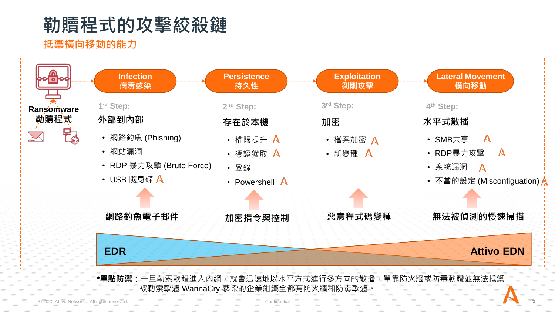## **勒贖程式的攻擊絞殺鏈**

## **抵禦橫向移動的能力**



\***單點防禦:**一旦勒索軟體進入內網,就會迅速地以水平方式進行多方向的散播,單靠防火牆或防毒軟體並無法抵禦 被勒索軟體 WannaCry 感染的企業組織全都有防火牆和防毒軟體。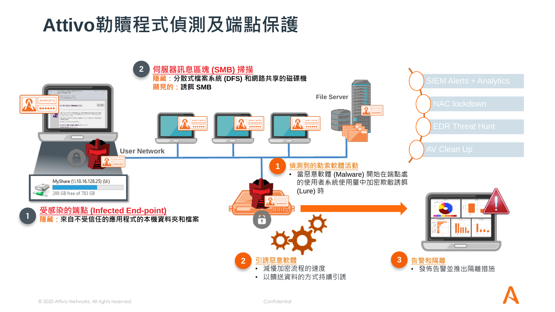## **Attivo勒贖程式偵測及端點保護**

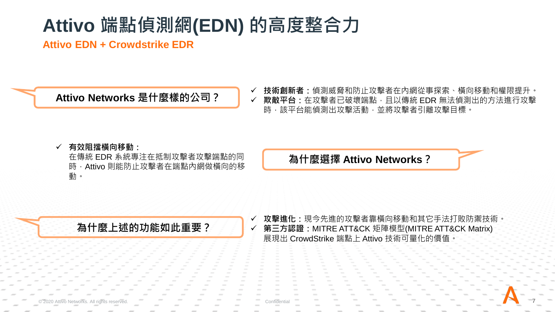## **Attivo 端點偵測網(EDN) 的高度整合力**

**Attivo EDN + Crowdstrike EDR**

**Attivo Networks 是什麼樣的公司?** ✓ **技術創新者:**偵測威脅和防止攻擊者在內網從事探索、橫向移動和權限提升。 ✓ **欺敵平台:**在攻擊者已破壞端點,且以傳統 EDR 無法偵測出的方法進行攻擊 時,該平台能偵測出攻擊活動,並將攻擊者引離攻擊目標。

### ✓ **有效阻擋橫向移動:**

在傳統 EDR 系統專注在抵制攻擊者攻擊端點的同 時, Attivo 則能防止攻擊者在端點內網做橫向的移 動。

**為什麼選擇 Attivo Networks?**

**為什麼上述的功能如此重要?**

✓ **攻擊進化:**現今先進的攻擊者靠橫向移動和其它手法打敗防禦技術。 ✓ **第三方認證:**MITRE ATT&CK 矩陣模型(MITRE ATT&CK Matrix) 展現出 CrowdStrike 端點上 Attivo 技術可量化的價值。

© 2020 Attivo Networks. All rights reserved. **The Confidential Confidential Confidential Confidential Confidential Confidential Confidential Confidential Confidential Confidential Confidential Confidential Confidential Con**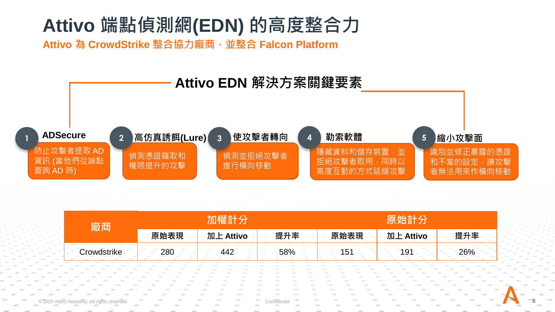## **Attivo 端點偵測網(EDN) 的高度整合力**

**Attivo 為 CrowdStrike 整合協力廠商,並整合 Falcon Platform**



|      | ЛF<br>VO                                                                                                                                                                                                            | t⊟<br>च्क<br><b>STATISTICS</b><br><b>STATE</b>             | 珇 | 'nП<br>VO                                                                                      | ऊंट |  |
|------|---------------------------------------------------------------------------------------------------------------------------------------------------------------------------------------------------------------------|------------------------------------------------------------|---|------------------------------------------------------------------------------------------------|-----|--|
| 1000 | $\frac{1}{2} \left( \frac{1}{2} \right) \left( \frac{1}{2} \right) \left( \frac{1}{2} \right)$<br>$\frac{1}{2} \left( \frac{1}{2} \right) \left( \frac{1}{2} \right) \left( \frac{1}{2} \right)$<br><b>Contract</b> | ററ<br><b>STATISTICS</b><br><b>Contract</b><br><b>STATE</b> |   | $\frac{1}{2} \left( \frac{1}{2} \right) \left( \frac{1}{2} \right) \left( \frac{1}{2} \right)$ |     |  |

© 2020 Attivo Networks. All rights reserved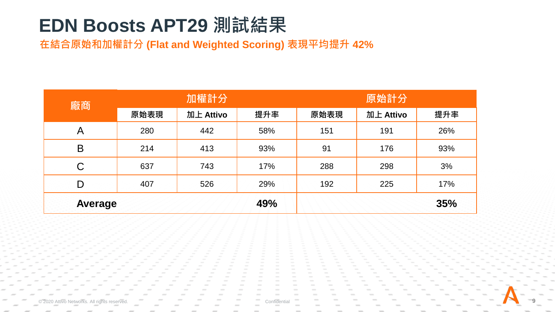## **EDN Boosts APT29 測試結果**

**在結合原始和加權計分 (Flat and Weighted Scoring) 表現平均提升 42%**

| 廠商             |      | 加權計分      |     | 原始計分 |           |     |  |
|----------------|------|-----------|-----|------|-----------|-----|--|
|                | 原始表現 | 加上 Attivo | 提升率 | 原始表現 | 加上 Attivo | 提升率 |  |
| A              | 280  | 442       | 58% | 151  | 191       | 26% |  |
| B              | 214  | 413       | 93% | 91   | 176       | 93% |  |
| $\mathsf C$    | 637  | 743       | 17% | 288  | 298       | 3%  |  |
| D              | 407  | 526       | 29% | 192  | 225       | 17% |  |
| <b>Average</b> |      |           | 49% |      |           | 35% |  |

 $©$  2020 Attivo Networks. All rights reserved